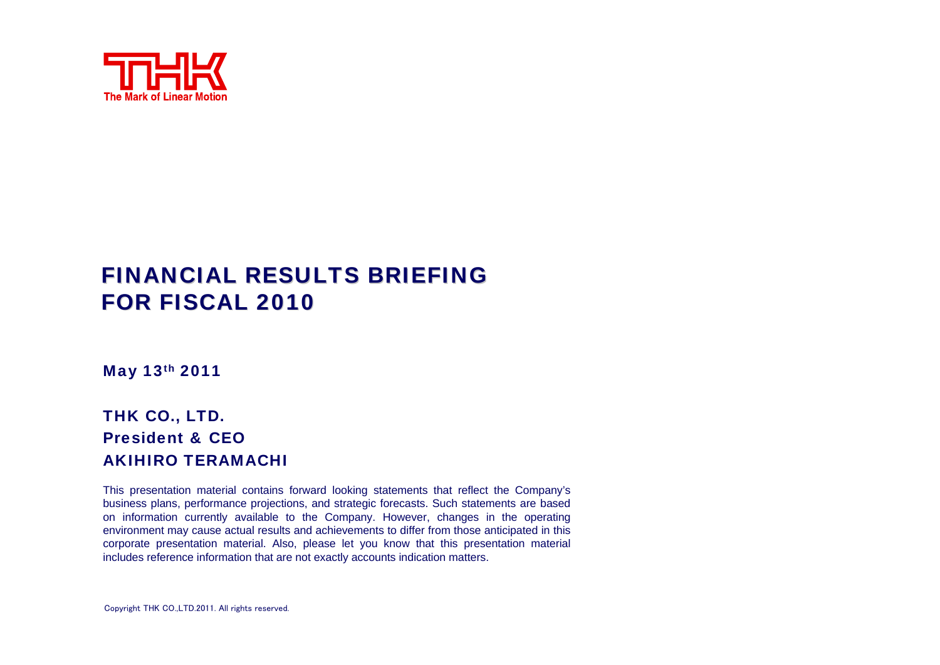

# FINANCIAL RESULTS BRIEFING FOR FISCAL 2010

May 13th 2011

#### THK CO., LTD. President & CEOAKIHIRO TERAMACHI

This presentation material contains forward looking statements that reflect the Company's business plans, performance projections, and strategic forecasts. Such statements are based on information currently available to the Company. However, changes in the operating environment may cause actual results and achievements to differ from those anticipated in this corporate presentation material. Also, please let you know that this presentation material includes reference information that are not exactly accounts indication matters.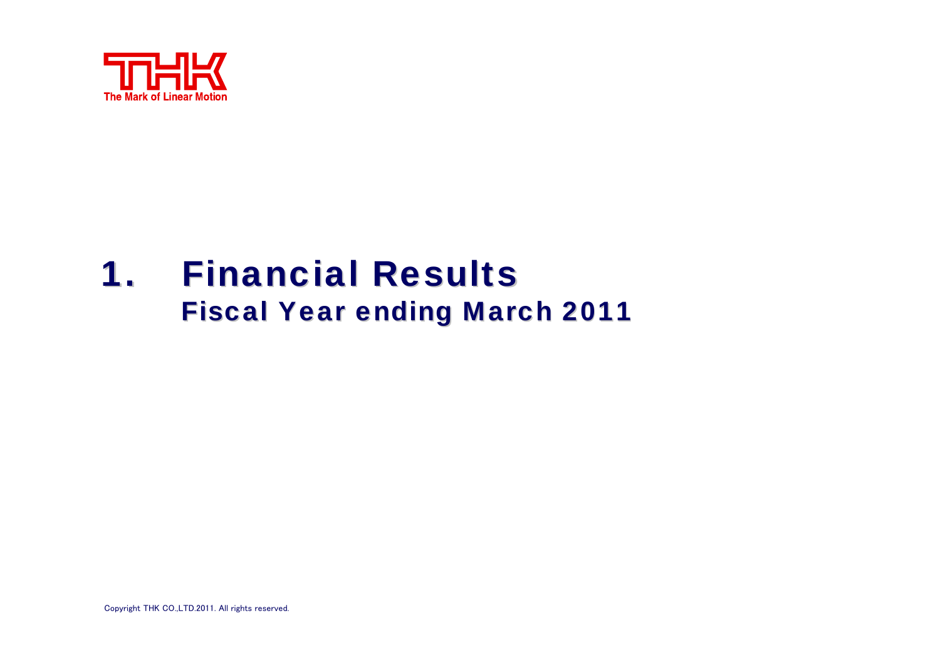

# **1. Financial Results Fiscal Year ending March 2011**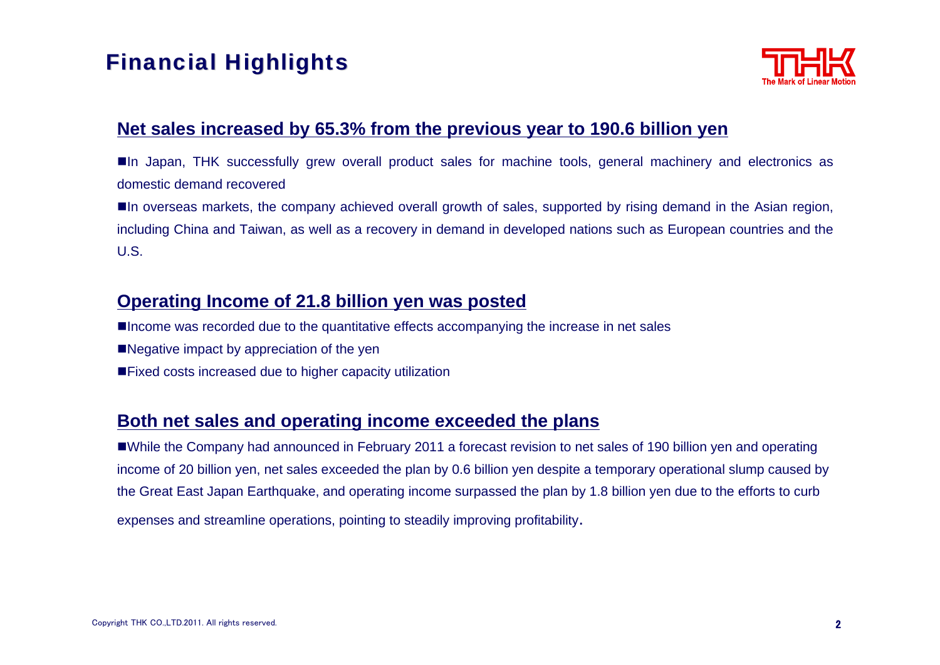# **Financial Highlights**



#### **Net sales increased by 65.3% from the previous year to 190.6 billion yen**

In Japan, THK successfully grew overall product sales for machine tools, general machinery and electronics as domestic demand recovered

In overseas markets, the company achieved overall growth of sales, supported by rising demand in the Asian region, including China and Taiwan, as well as a recovery in demand in developed nations such as European countries and the U.S.

#### **Operating Income of 21.8 billion yen was posted**

■Income was recorded due to the quantitative effects accompanying the increase in net sales

- ■Negative impact by appreciation of the yen
- ■Fixed costs increased due to higher capacity utilization

#### **Both net sales and operating income exceeded the plans**

While the Company had announced in February 2011 a forecast revision to net sales of 190 billion yen and operating income of 20 billion yen, net sales exceeded the plan by 0.6 billion yen despite a temporary operational slump caused by the Great East Japan Earthquake, and operating income surpassed the plan by 1.8 billion yen due to the efforts to curb expenses and streamline operations, pointing to steadily improving profitability.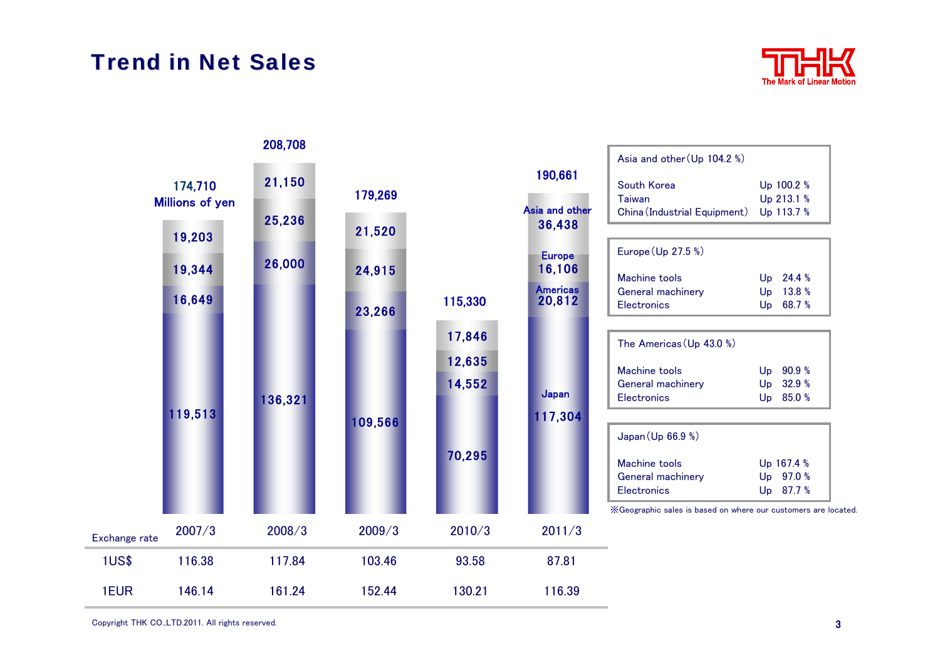# **Trend in Net Sales**



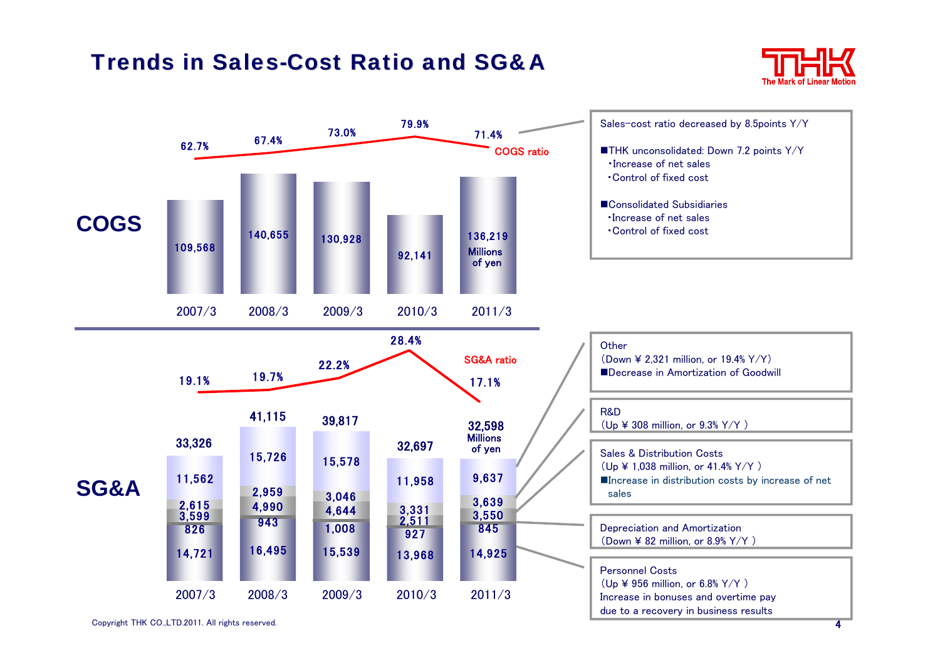## Trends in Sales-Cost Ratio and SG&A



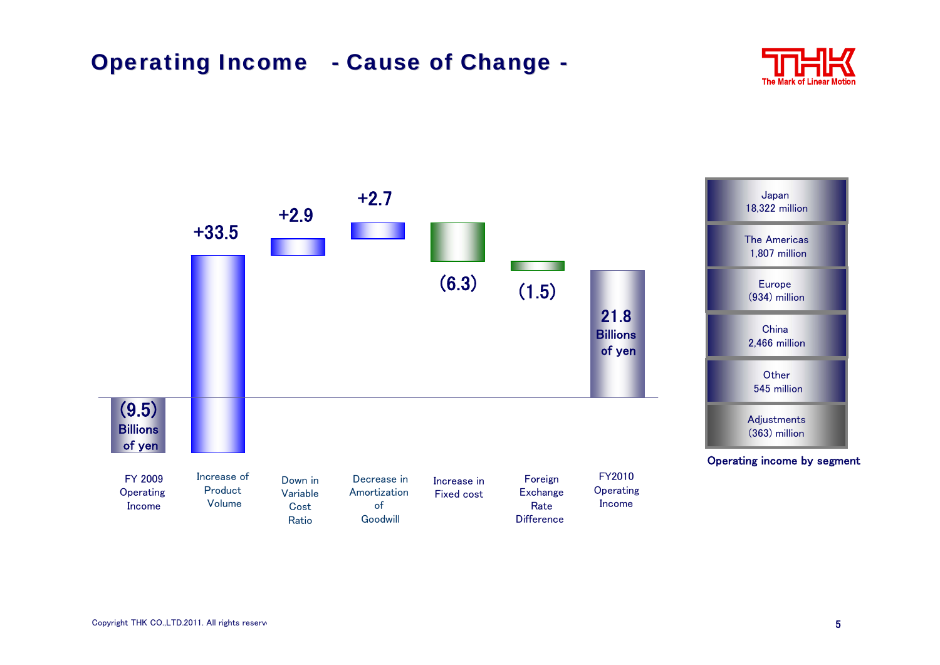# **Operating Income - Cause of Change -**



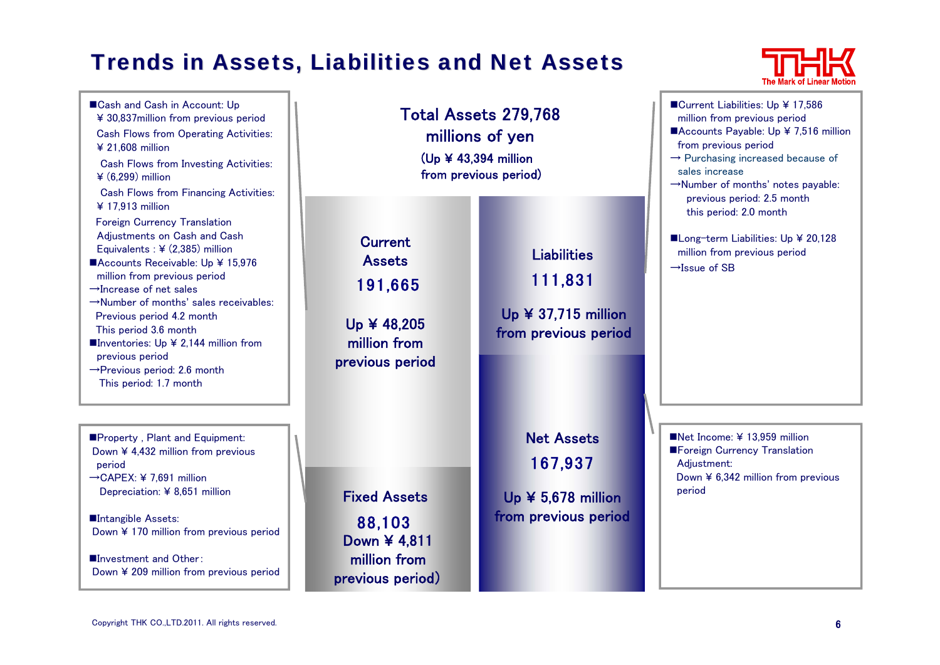# **Trends in Assets, Liabilities and Net Assets**



■Cash and Cash in Account: Up ¥ 30,837million from previous period Cash Flows from Operating Activities: ¥ 21,608 million Cash Flows from Investing Activities: ¥ (6,299) million Cash Flows from Financing Activities: ¥ 17,913 million Foreign Currency Translation Adjustments on Cash and Cash Equivalents : ¥ (2,385) million ■Accounts Receivable: Up ¥ 15,976 million from previous period →Increase of net sales→Number of months' sales receivables:Previous period 4.2 month This period 3.6 month Inventories: Up  $\angle$  2,144 million from previous period →Previous period: 2.6 month This period: 1.7 month **Property, Plant and Equipment:** Down ¥ 4,432 million from previous

→CAPEX: ¥ 7,691 million Depreciation: ¥ 8,651 million

period

■Intangible Assets: Down ¥ 170 million from previous period

■Investment and Other: Down ¥ 209 million from previous period

| $(Up \nless 43,394$ million                                                                  | <b>Total Assets 279,768</b><br>millions of yen<br>from previous period)             | ■Current Liabilities: Up ¥ 17,586<br>million from previous period<br>■Accounts Payable: Up ¥ 7,516 million<br>from previous period<br>$\rightarrow$ Purchasing increased because of<br>sales increase<br>→Number of months' notes payable:<br>previous period: 2.5 month |
|----------------------------------------------------------------------------------------------|-------------------------------------------------------------------------------------|--------------------------------------------------------------------------------------------------------------------------------------------------------------------------------------------------------------------------------------------------------------------------|
| <b>Current</b><br><b>Assets</b><br>191,665<br>Up ¥ 48,205<br>million from<br>previous period | <b>Liabilities</b><br>111,831<br>Up $\angle$ 37,715 million<br>from previous period | this period: 2.0 month<br>■Long-term Liabilities: Up ¥ 20,128<br>million from previous period<br>$\rightarrow$ Issue of SB                                                                                                                                               |
| <b>Fixed Assets</b><br>88,103<br>Down ¥ 4,811<br>million from<br>previous period)            | <b>Net Assets</b><br>167,937<br>Up $45,678$ million<br>from previous period         | Net Income: ¥ 13,959 million<br>Foreign Currency Translation<br>Adjustment:<br>Down ¥ 6,342 million from previous<br>period                                                                                                                                              |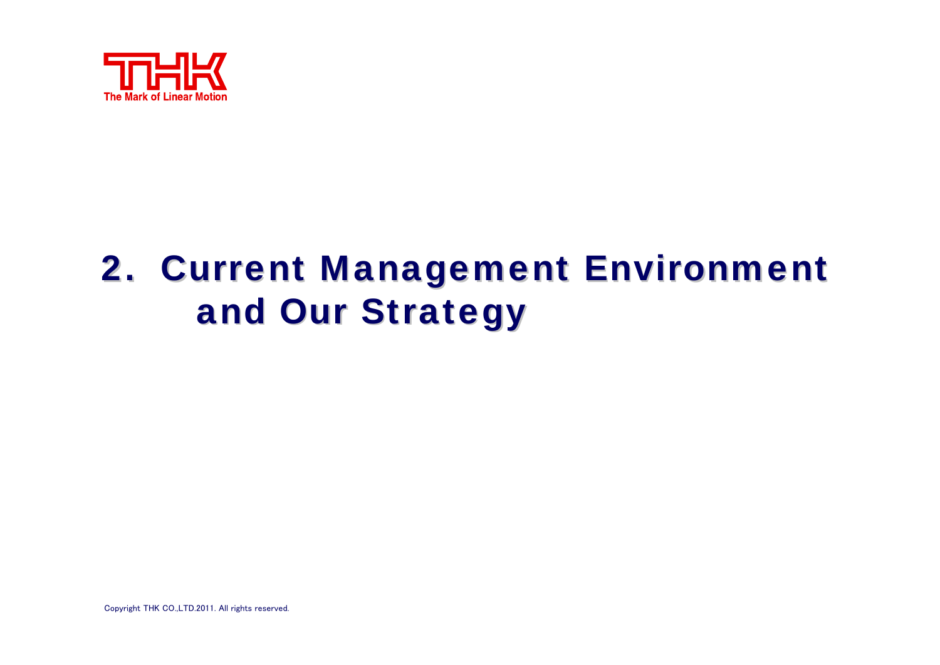

# 2. Current Management Environment and Our Strategy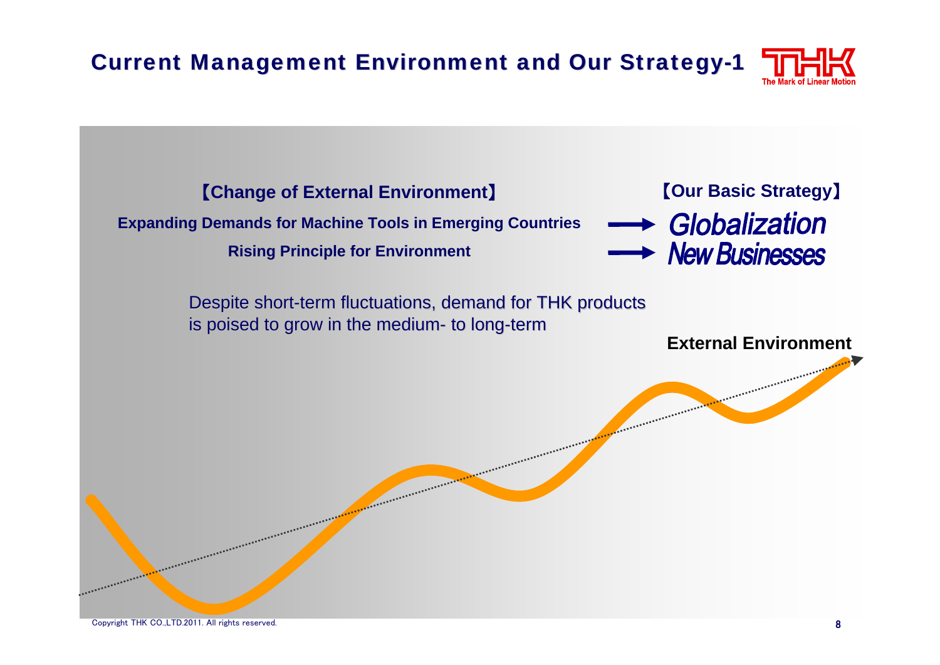**Current Management Environment and Our Strategy-1** 

【**Change of External Environment**】

### **Expanding Demands for Machine Tools in Emerging Countries**

**Rising Principle for Environment**



Despite short-term fluctuations, demand for THK products is poised to grow in the medium- to long-term

**External Environment**

APPEARESESSEESES

**ARRAIGED**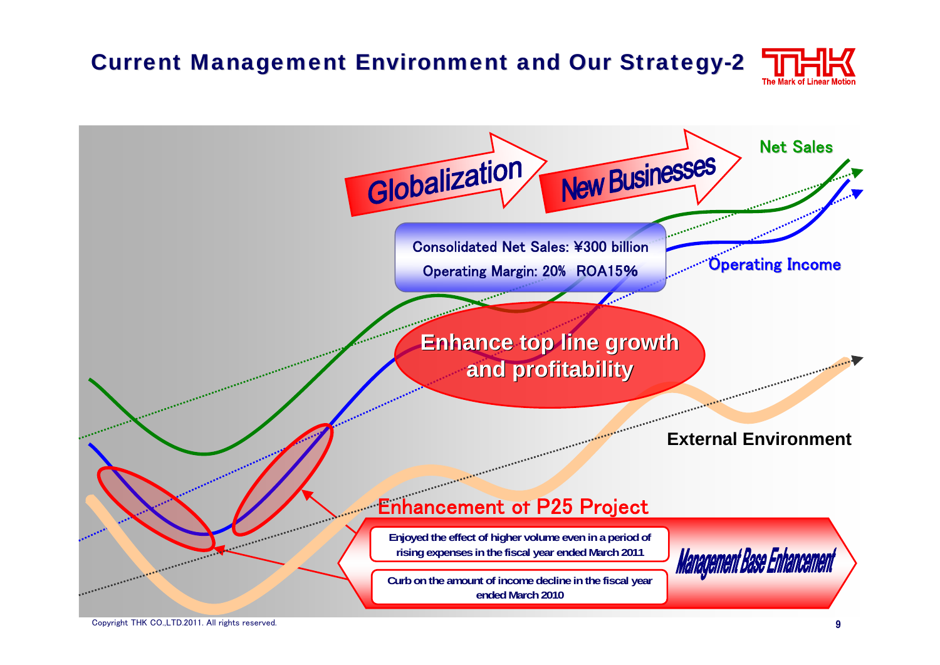# Current Management Environment and Our Strategy-2



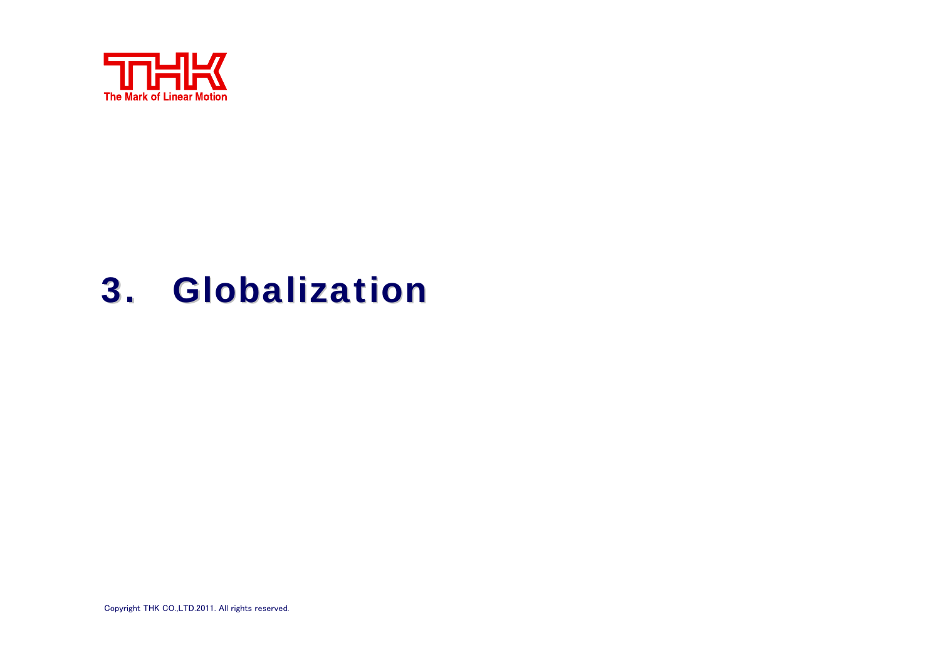

# 3. Globalization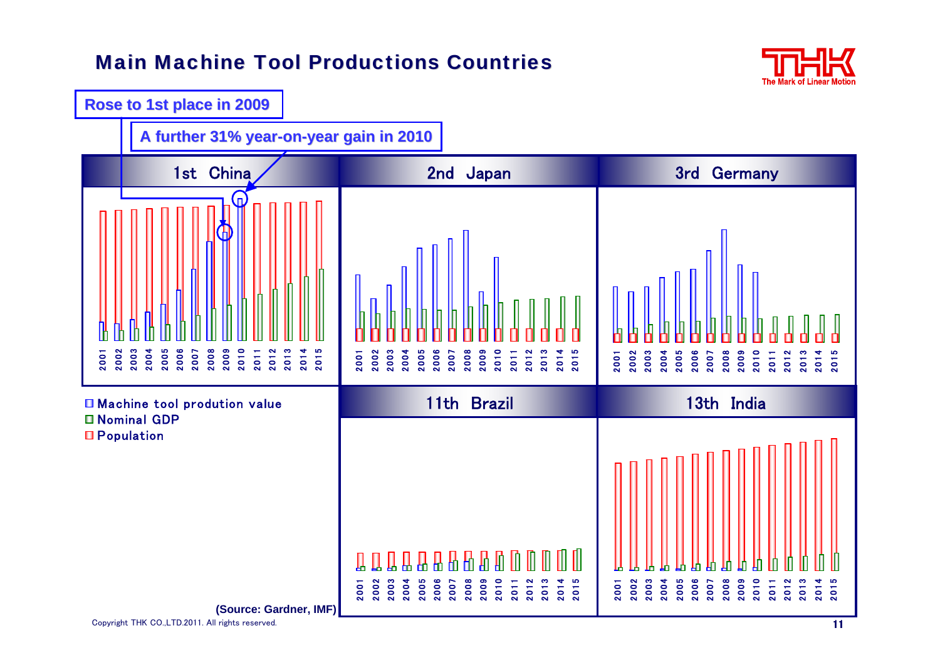### **Main Machine Tool Productions Countries**



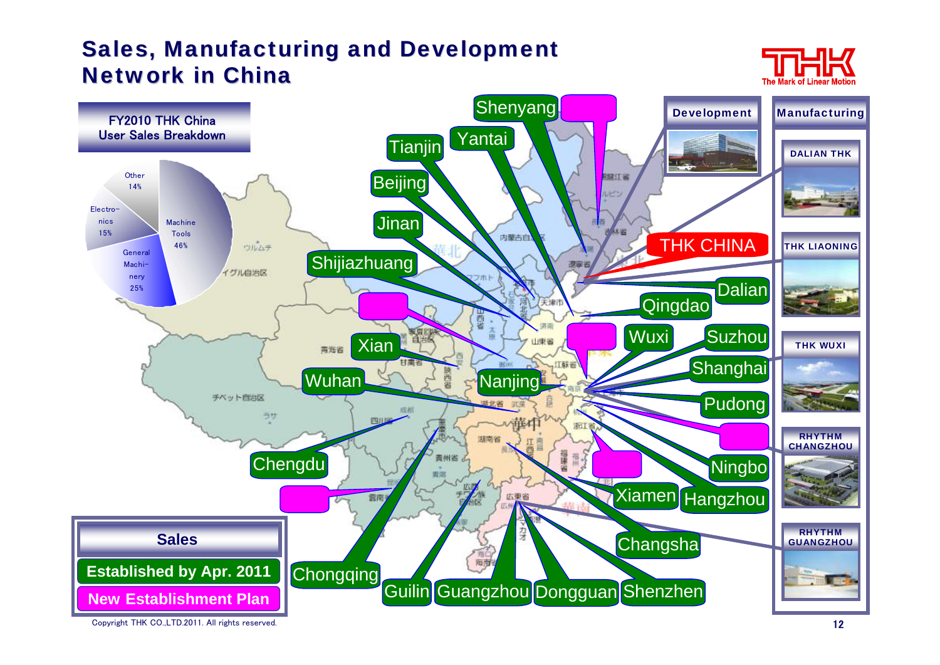# <span id="page-12-0"></span>Sales, Manufacturing and Development **Network in China**





Copyright THK CO.,LTD.2011. All rights reserved.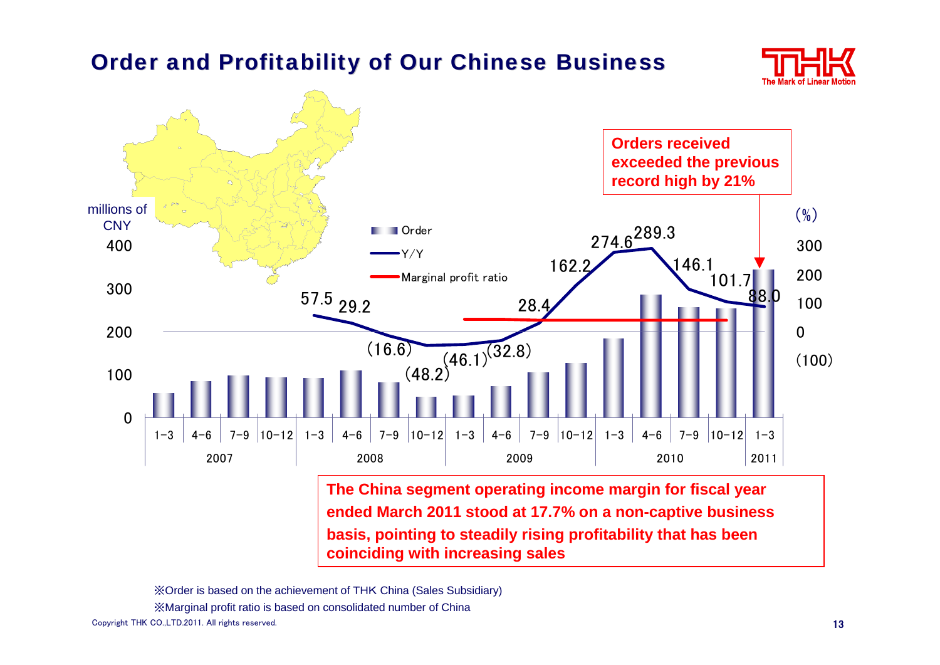# **Order and Profitability of Our Chinese Business**





※Order is based on the achievement of THK China (Sales Subsidiary)

※Marginal profit ratio is based on consolidated number of China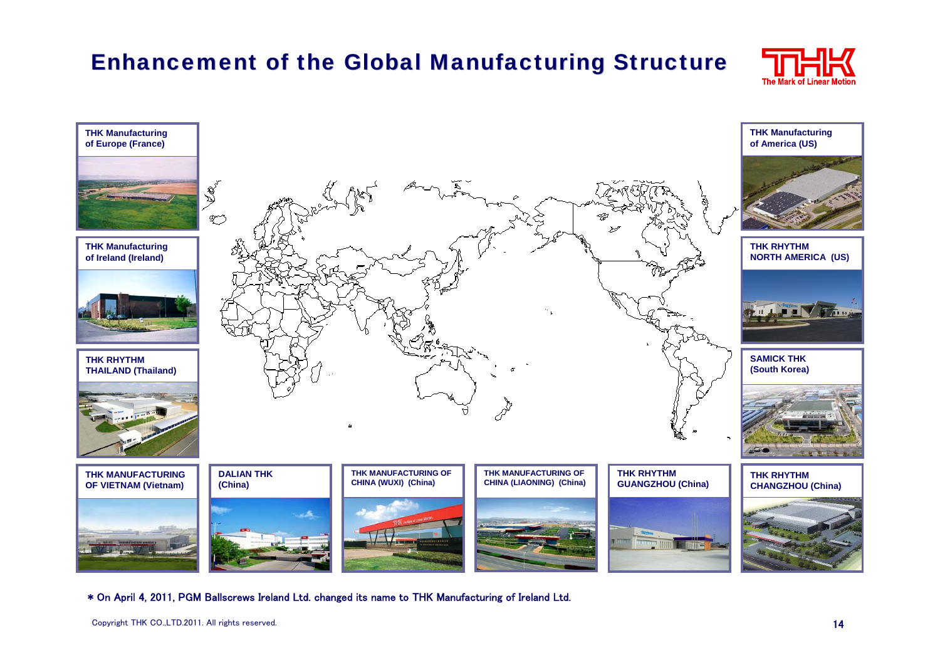# Enhancement of the Global Manufacturing Structure





\* On April 4, 2011, PGM Ballscrews Ireland Ltd. changed its name to THK Manufacturing of Ireland Ltd.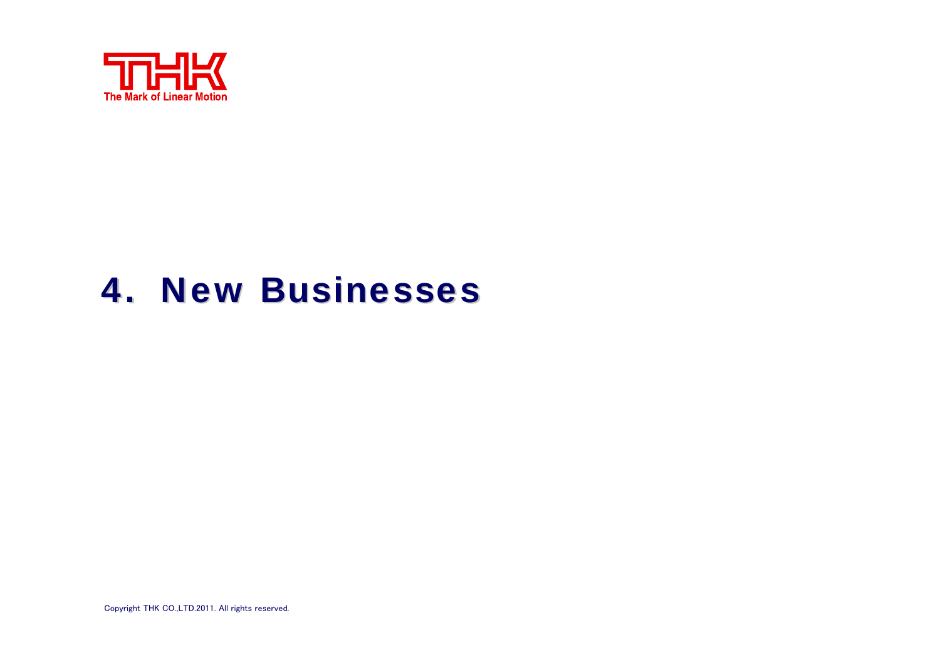

# **4. New Businesses**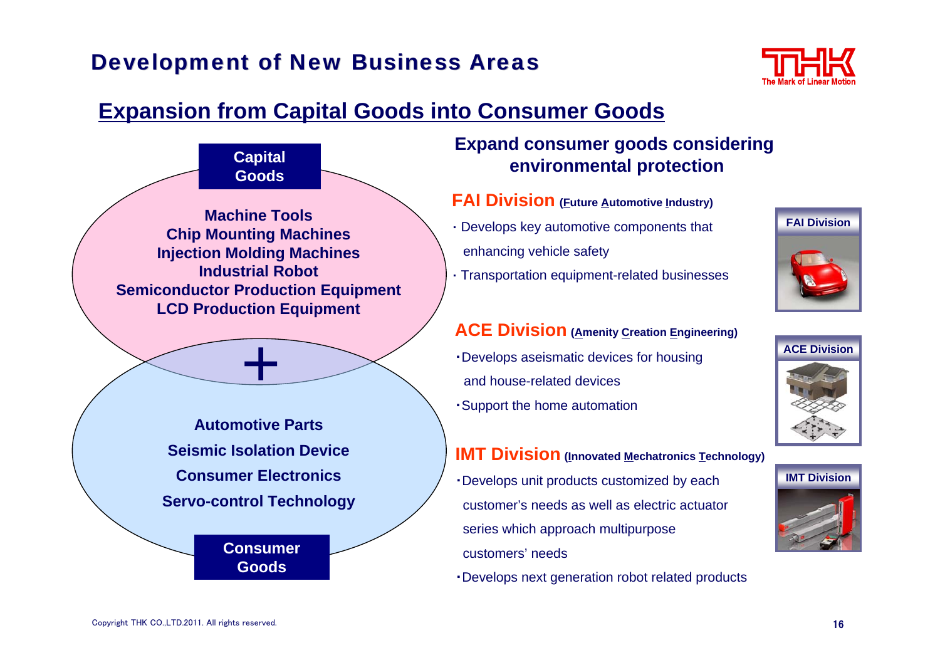# <span id="page-16-0"></span>**Development of New Business Areas**



# **Expansion from Capital Goods into Consumer Goods**



#### **Expand consumer goods considering environmental protection**

- **FAI Division (Future Automotive Industry)**
- ・ Develops key automotive components that enhancing vehicle safety
- ・ Transportation equipment-related businesses

#### **ACE Division (Amenity Creation Engineering)**

- ・Develops aseismatic devices for housing and house-related devices
- ・Support the home automation

#### **IMT Division** (Innovated Mechatronics Technology)

- ・Develops unit products customized by each customer's needs as well as electric actuator series which approach multipurpose customers' needs
- ・Develops next generation robot related products





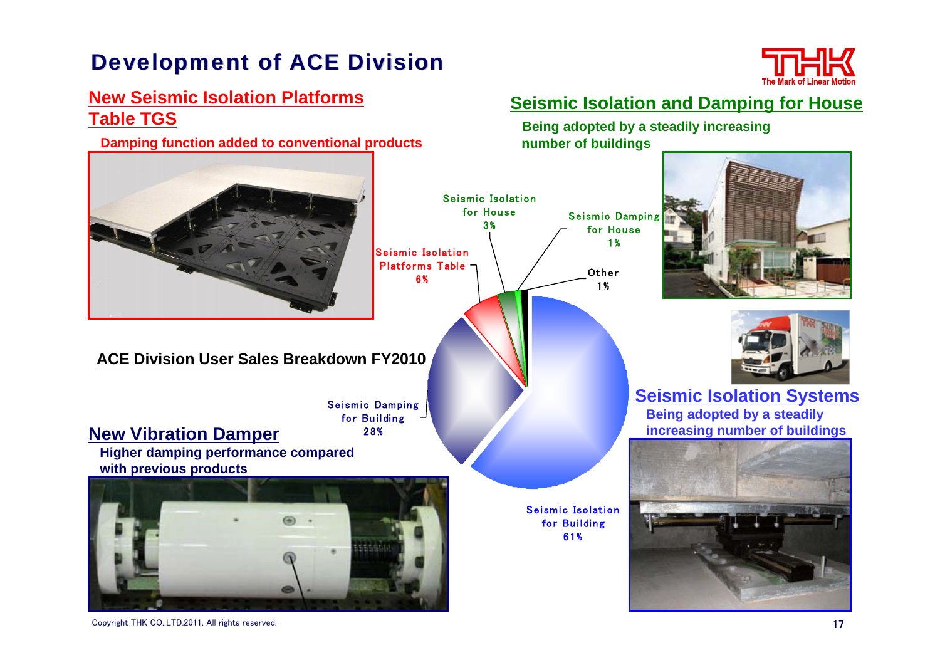# **Development of ACE Division**



#### **New Seismic Isolation Platforms Table TGS**

**Damping function added to conventional products**

#### **ACE Division User Sales Breakdown FY2010**

Seismic Damping for Building 28%

**New Vibration Damper**

**Higher damping performance compared with previous products** 



### **Seismic Isolation and Damping for House**

**Being adopted by a steadily increasing number of buildings** 



61%



**Seismic Isolation Systems Being adopted by a steadily increasing number of buildings** 

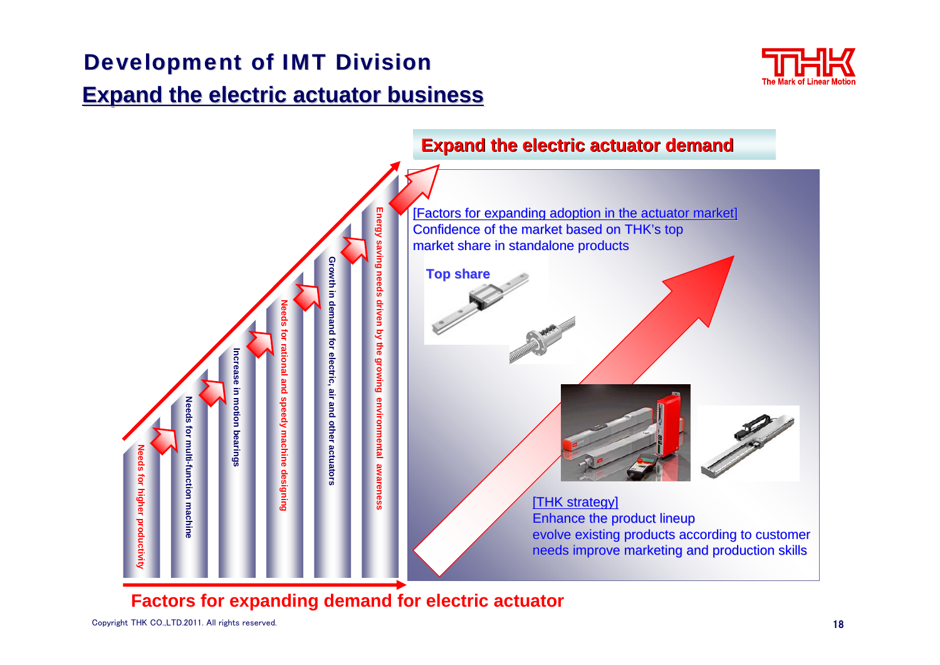## Development of IMT Division

# **Expand the electric actuator business Expand the electric actuator business**





### **Factors for expanding demand for electric actuator**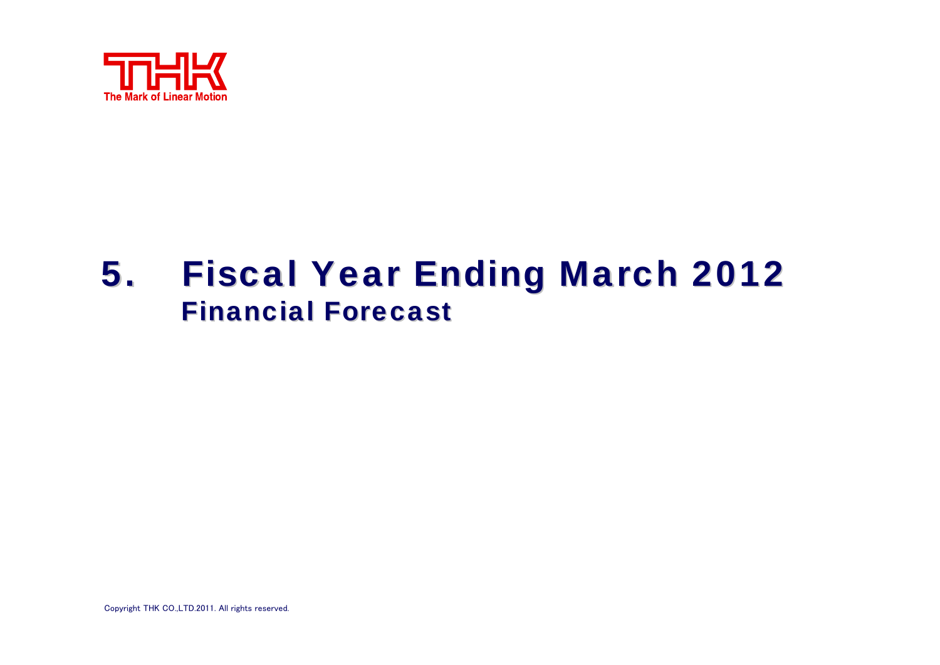

# 5. Fiscal Year Ending March 2012 **Financial Forecast**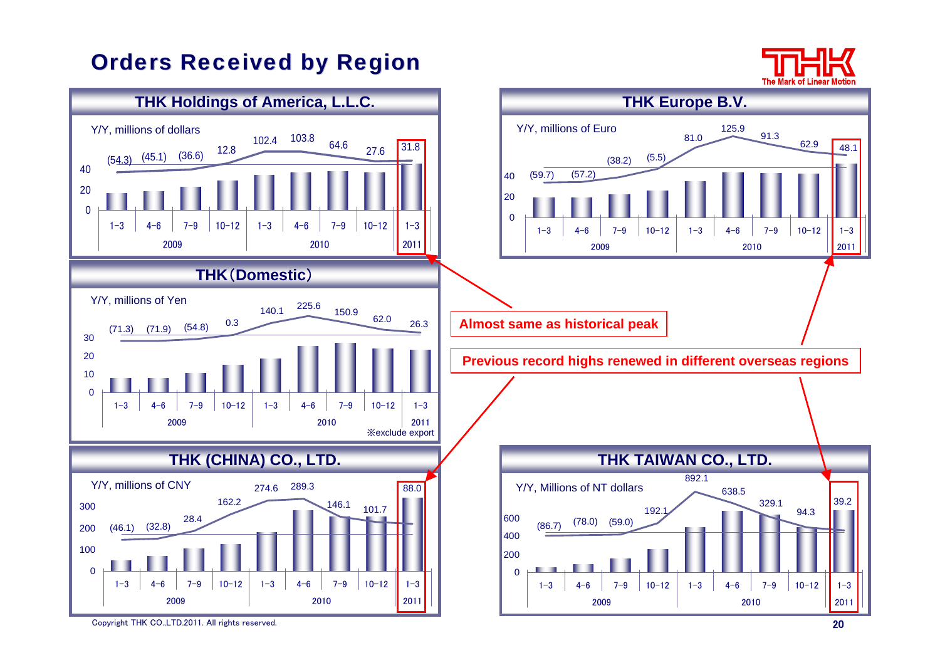# <span id="page-20-0"></span>**[Orders Received by Region](#page-20-0)**



Copyright THK CO.,LTD.2011. All rights reserved.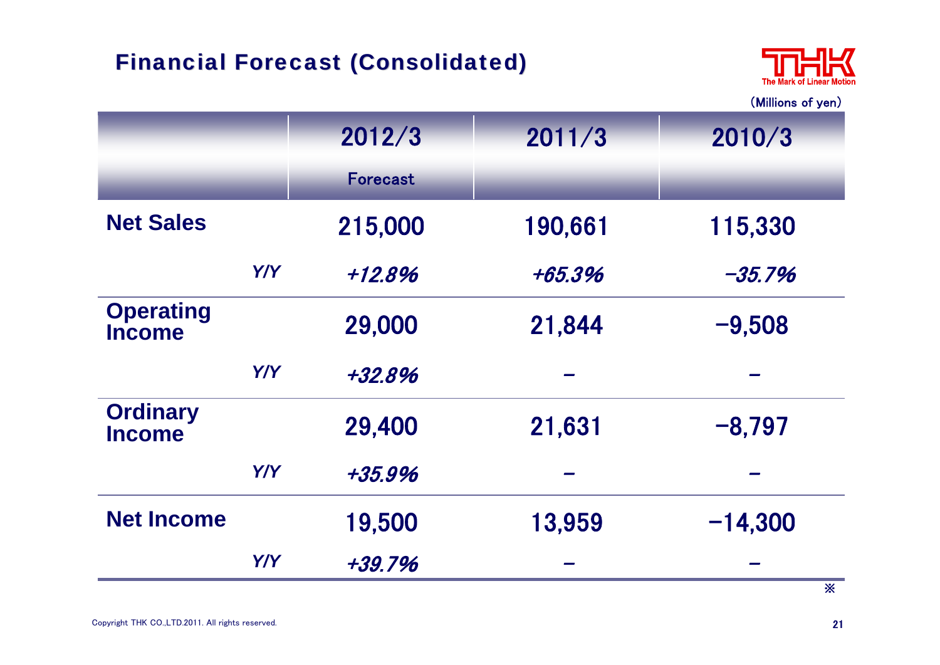# Financial Forecast (Consolidated) Financial Forecast (Consolidated)



[\(Millions of yen\)](#page-22-0)

|                                   |            | 2012/3          | 2011/3  | 2010/3                |
|-----------------------------------|------------|-----------------|---------|-----------------------|
|                                   |            | <b>Forecast</b> |         |                       |
| <b>Net Sales</b>                  |            | 215,000         | 190,661 | 115,330               |
|                                   | <b>Y/Y</b> | $+12.8%$        | +65.3%  | $-35.7%$              |
| <b>Operating</b><br><b>Income</b> |            | 29,000          | 21,844  | $-9,508$              |
|                                   | Y/Y        | +32.8%          |         |                       |
| <b>Ordinary</b><br><b>Income</b>  |            | 29,400          | 21,631  | $-8,797$              |
|                                   | Y/Y        | $+35.9%$        |         |                       |
| <b>Net Income</b>                 |            | 19,500          | 13,959  | $-14,300$             |
|                                   | Y/Y        | $+39.7%$        |         | $\mathbf{\mathbf{x}}$ |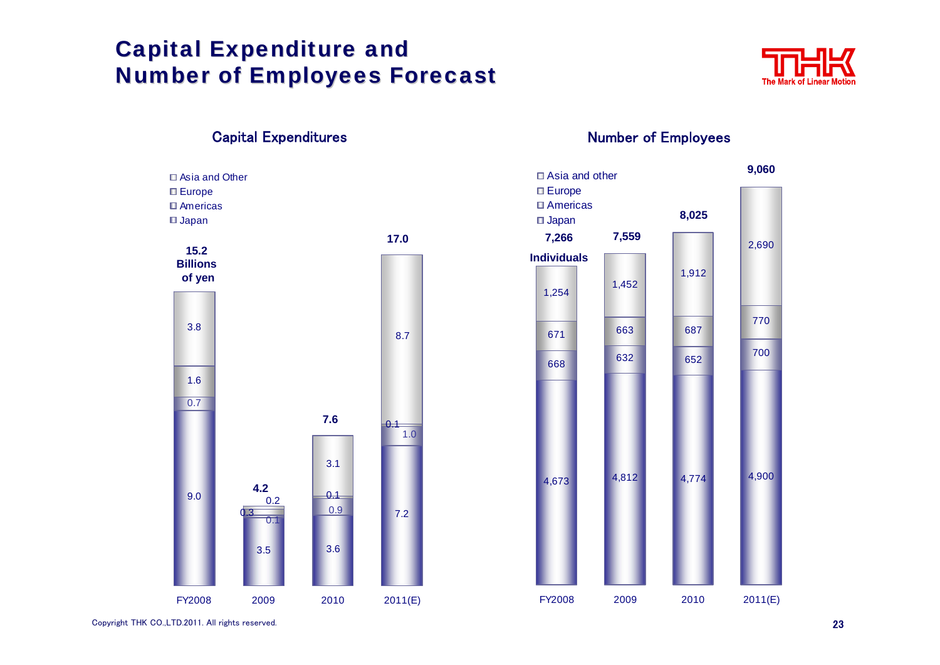# <span id="page-22-0"></span>**Capital Expenditure and Number of Employees Forecast**





#### Capital Expenditures **Number of Employees**

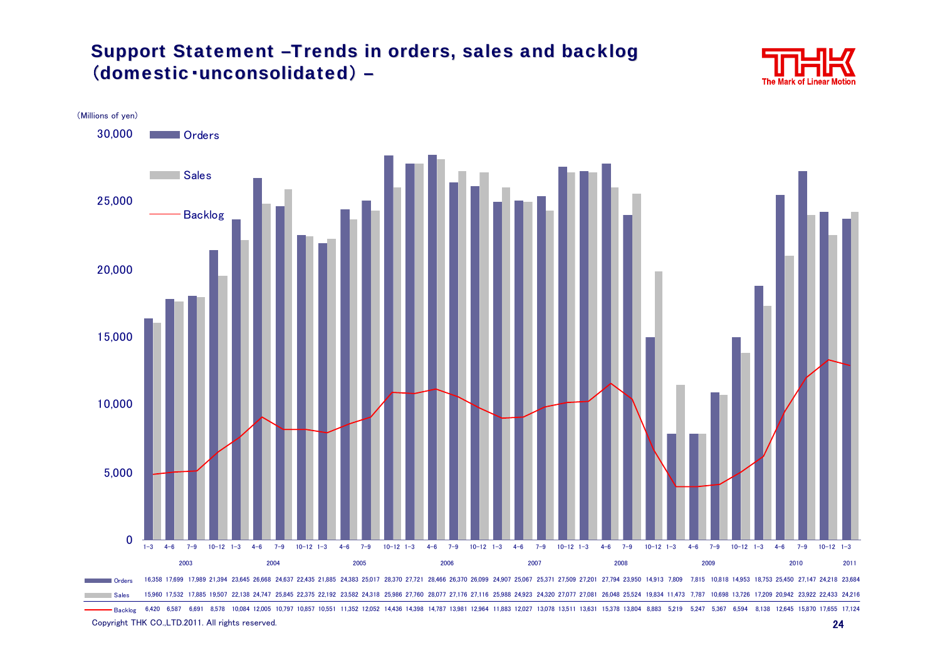#### Support Statement -Trends in orders, sales and backlog (domestic·unconsolidated) –